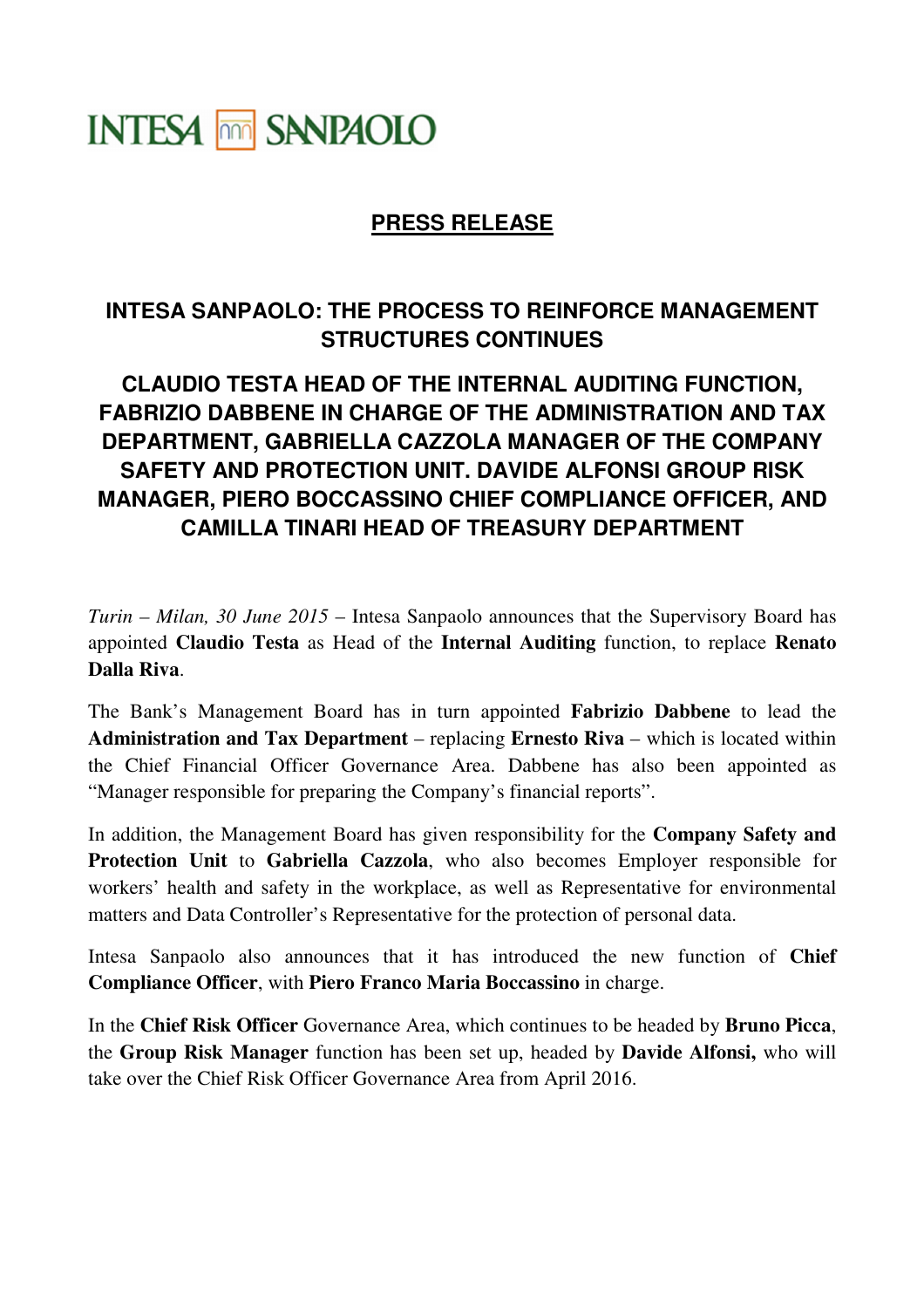## **INTESA MM SANPAOLO**

## **PRESS RELEASE**

## **INTESA SANPAOLO: THE PROCESS TO REINFORCE MANAGEMENT STRUCTURES CONTINUES**

## **CLAUDIO TESTA HEAD OF THE INTERNAL AUDITING FUNCTION, FABRIZIO DABBENE IN CHARGE OF THE ADMINISTRATION AND TAX DEPARTMENT, GABRIELLA CAZZOLA MANAGER OF THE COMPANY SAFETY AND PROTECTION UNIT. DAVIDE ALFONSI GROUP RISK MANAGER, PIERO BOCCASSINO CHIEF COMPLIANCE OFFICER, AND CAMILLA TINARI HEAD OF TREASURY DEPARTMENT**

*Turin – Milan, 30 June 2015* – Intesa Sanpaolo announces that the Supervisory Board has appointed **Claudio Testa** as Head of the **Internal Auditing** function, to replace **Renato Dalla Riva**.

The Bank's Management Board has in turn appointed **Fabrizio Dabbene** to lead the **Administration and Tax Department** – replacing **Ernesto Riva** – which is located within the Chief Financial Officer Governance Area. Dabbene has also been appointed as "Manager responsible for preparing the Company's financial reports".

In addition, the Management Board has given responsibility for the **Company Safety and Protection Unit** to **Gabriella Cazzola**, who also becomes Employer responsible for workers' health and safety in the workplace, as well as Representative for environmental matters and Data Controller's Representative for the protection of personal data.

Intesa Sanpaolo also announces that it has introduced the new function of **Chief Compliance Officer**, with **Piero Franco Maria Boccassino** in charge.

In the **Chief Risk Officer** Governance Area, which continues to be headed by **Bruno Picca**, the **Group Risk Manager** function has been set up, headed by **Davide Alfonsi,** who will take over the Chief Risk Officer Governance Area from April 2016.